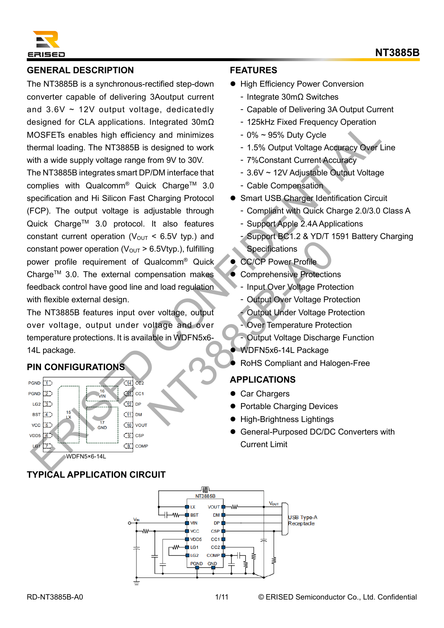

## **GENERAL DESCRIPTION**

The NT3885B is a synchronous-rectified step-down converter capable of delivering 3Aoutput current and  $3.6V \sim 12V$  output voltage, dedicatedly designed for CLA applications. Integrated 30mΩ MOSFETs enables high efficiency and minimizes thermal loading. The NT3885B is designed to work with a wide supply voltage range from 9V to 30V.

The NT3885B integrates smart DP/DM interface that complies with Qualcomm<sup>®</sup> Quick Charge<sup>™</sup> 3.0 specification and Hi Silicon Fast Charging Protocol (FCP). The output voltage is adjustable through Quick Charge™ 3.0 protocol. It also features constant current operation ( $V_{\text{OUT}}$  < 6.5V typ.) and constant power operation ( $V_{\text{OUT}} > 6.5$ Vtyp.), fulfilling power profile requirement of Qualcomm® Quick Charge<sup>TM</sup> 3.0. The external compensation makes feedback control have good line and load regulation with flexible external design. ERISE TO A POPULATION CONTENT PROPIES UNIT AND THE CONTENT CONTENT CONTENT CONTENT CONTENT CONTENT CONTENT CONTENT CONTENT CONTENT CONTENT CONTENT CONTENT CONTENT CONTENT CONTENT CONTENT CONTENT CONTENT CONTENT CONTENT CON 6.5Vtyp.), fulfilling<br>
Qualcomm® Quick<br>
CC/CP Power Profile<br>
npensation makes<br>
Comprehensive Protection<br>
- Input Over Voltage Prote<br>
- Output Under Voltage Prote<br>
output Under Voltage Prote<br>
able in WDFN5x6-<br>
- Output Volt

The NT3885B features input over voltage, output over voltage, output under voltage and over temperature protections. It is available in WDFN5x6- 14L package.

# **PIN CONFIGURATIONS**



## **TYPICAL APPLICATION CIRCUIT**

#### **FEATURES**

- High Efficiency Power Conversion
	- ‑ Integrate 30mΩ Switches
	- ‑ Capable of Delivering 3A Output Current
	- ‑ 125kHz Fixed Frequency Operation
	- ‑ 0% ~ 95% Duty Cycle
	- ‑ 1.5% Output Voltage Accuracy Over Line
	- ‑ 7%Constant Current Accuracy
	- ‑ 3.6V ~ 12V Adjustable Output Voltage
	- ‑ Cable Compensation
- Smart USB Charger Identification Circuit
	- ‑ Compliant with Quick Charge 2.0/3.0 Class A
	- ‑ Support Apple 2.4A Applications
	- ‑ Support BC1.2 & YD/T 1591 Battery Charging **Specifications**
	- ⚫ CC/CP Power Profile
	- ⚫ Comprehensive Protections
	- ‑ Input Over Voltage Protection
	- ‑ Output Over Voltage Protection
	- ‑ Output Under Voltage Protection
	- ‑ Over Temperature Protection
	- ‑ Output Voltage Discharge Function
- ⚫ WDFN5x6-14L Package
- ⚫ RoHS Compliant and Halogen-Free

#### **APPLICATIONS**

- Car Chargers
- ⚫ Portable Charging Devices
- ⚫ High-Brightness Lightings
- ⚫ General-Purposed DC/DC Converters with Current Limit